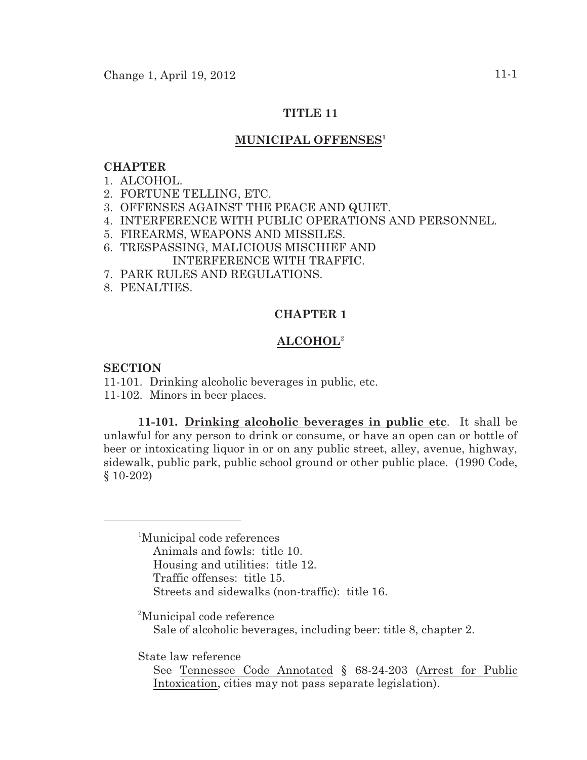# **TITLE 11**

# **MUNICIPAL OFFENSES<sup>1</sup>**

#### **CHAPTER**

#### 1. ALCOHOL.

- 2. FORTUNE TELLING, ETC.
- 3. OFFENSES AGAINST THE PEACE AND QUIET.
- 4. INTERFERENCE WITH PUBLIC OPERATIONS AND PERSONNEL.
- 5. FIREARMS, WEAPONS AND MISSILES.
- 6. TRESPASSING, MALICIOUS MISCHIEF AND INTERFERENCE WITH TRAFFIC.
- 7. PARK RULES AND REGULATIONS.
- 8. PENALTIES.

## **CHAPTER 1**

## **ALCOHOL**<sup>2</sup>

#### **SECTION**

11-101. Drinking alcoholic beverages in public, etc. 11-102. Minors in beer places.

**11-101. Drinking alcoholic beverages in public etc**. It shall be unlawful for any person to drink or consume, or have an open can or bottle of beer or intoxicating liquor in or on any public street, alley, avenue, highway, sidewalk, public park, public school ground or other public place. (1990 Code, § 10-202)

<sup>1</sup>Municipal code references Animals and fowls: title 10. Housing and utilities: title 12. Traffic offenses: title 15. Streets and sidewalks (non-traffic): title 16.

<sup>2</sup>Municipal code reference Sale of alcoholic beverages, including beer: title 8, chapter 2.

State law reference

See Tennessee Code Annotated § 68-24-203 (Arrest for Public Intoxication, cities may not pass separate legislation).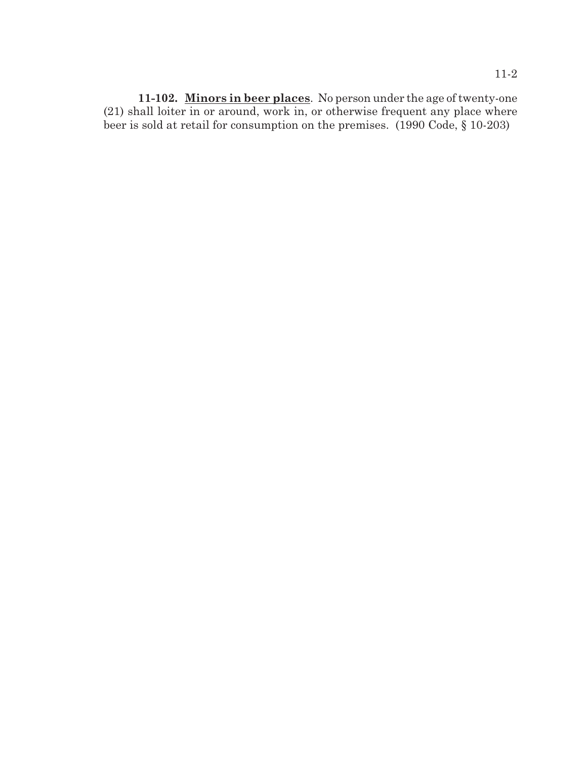**11-102. Minors in beer places**. No person under the age of twenty-one (21) shall loiter in or around, work in, or otherwise frequent any place where beer is sold at retail for consumption on the premises. (1990 Code, § 10-203)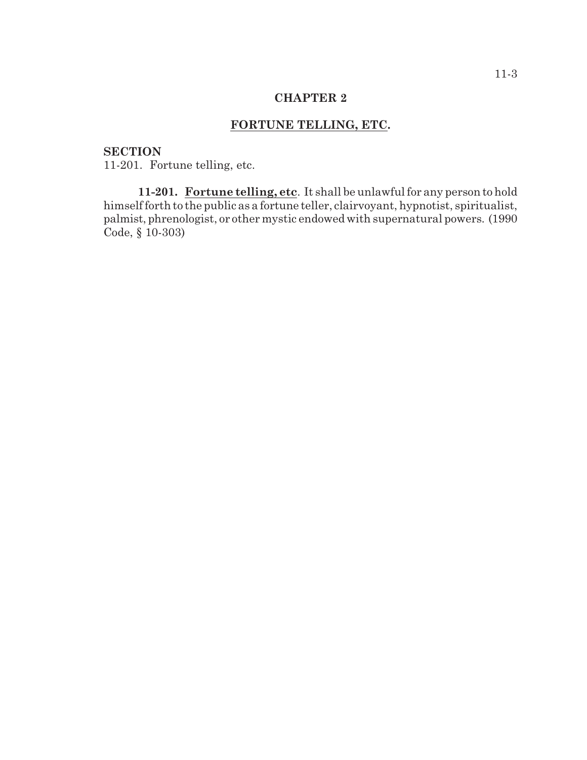# **FORTUNE TELLING, ETC.**

## **SECTION**

11-201. Fortune telling, etc.

**11-201. Fortune telling, etc**. It shall be unlawful for any person to hold himself forth to the public as a fortune teller, clairvoyant, hypnotist, spiritualist, palmist, phrenologist, or other mystic endowed with supernatural powers. (1990 Code, § 10-303)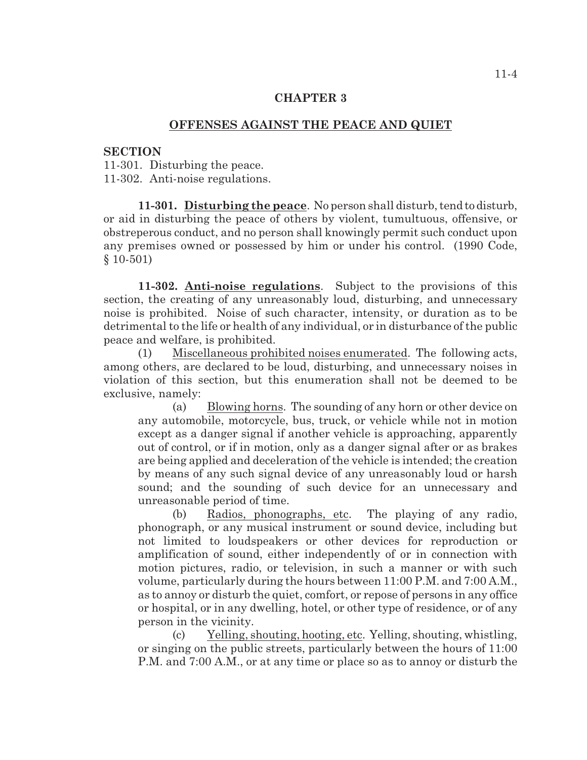## **OFFENSES AGAINST THE PEACE AND QUIET**

#### **SECTION**

11-301. Disturbing the peace. 11-302. Anti-noise regulations.

**11-301. Disturbing the peace**. No person shall disturb, tend to disturb, or aid in disturbing the peace of others by violent, tumultuous, offensive, or obstreperous conduct, and no person shall knowingly permit such conduct upon any premises owned or possessed by him or under his control. (1990 Code, § 10-501)

**11-302. Anti-noise regulations**. Subject to the provisions of this section, the creating of any unreasonably loud, disturbing, and unnecessary noise is prohibited. Noise of such character, intensity, or duration as to be detrimental to the life or health of any individual, or in disturbance of the public peace and welfare, is prohibited.

(1) Miscellaneous prohibited noises enumerated. The following acts, among others, are declared to be loud, disturbing, and unnecessary noises in violation of this section, but this enumeration shall not be deemed to be exclusive, namely:

(a) Blowing horns. The sounding of any horn or other device on any automobile, motorcycle, bus, truck, or vehicle while not in motion except as a danger signal if another vehicle is approaching, apparently out of control, or if in motion, only as a danger signal after or as brakes are being applied and deceleration of the vehicle is intended; the creation by means of any such signal device of any unreasonably loud or harsh sound; and the sounding of such device for an unnecessary and unreasonable period of time.

(b) Radios, phonographs, etc. The playing of any radio, phonograph, or any musical instrument or sound device, including but not limited to loudspeakers or other devices for reproduction or amplification of sound, either independently of or in connection with motion pictures, radio, or television, in such a manner or with such volume, particularly during the hours between 11:00 P.M. and 7:00 A.M., as to annoy or disturb the quiet, comfort, or repose of persons in any office or hospital, or in any dwelling, hotel, or other type of residence, or of any person in the vicinity.

(c) Yelling, shouting, hooting, etc. Yelling, shouting, whistling, or singing on the public streets, particularly between the hours of 11:00 P.M. and 7:00 A.M., or at any time or place so as to annoy or disturb the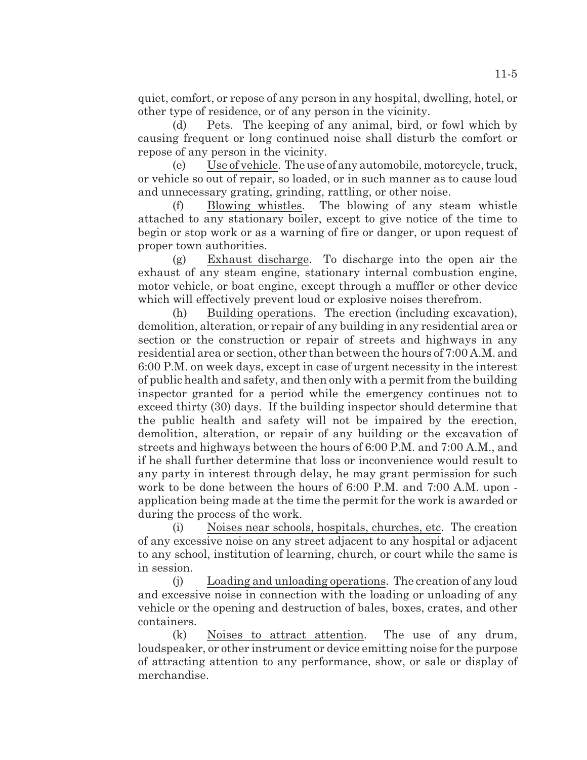quiet, comfort, or repose of any person in any hospital, dwelling, hotel, or other type of residence, or of any person in the vicinity.

(d) Pets. The keeping of any animal, bird, or fowl which by causing frequent or long continued noise shall disturb the comfort or repose of any person in the vicinity.

(e) Use of vehicle. The use of any automobile, motorcycle, truck, or vehicle so out of repair, so loaded, or in such manner as to cause loud and unnecessary grating, grinding, rattling, or other noise.

(f) Blowing whistles. The blowing of any steam whistle attached to any stationary boiler, except to give notice of the time to begin or stop work or as a warning of fire or danger, or upon request of proper town authorities.

(g) Exhaust discharge. To discharge into the open air the exhaust of any steam engine, stationary internal combustion engine, motor vehicle, or boat engine, except through a muffler or other device which will effectively prevent loud or explosive noises therefrom.

(h) Building operations. The erection (including excavation), demolition, alteration, or repair of any building in any residential area or section or the construction or repair of streets and highways in any residential area or section, other than between the hours of 7:00 A.M. and 6:00 P.M. on week days, except in case of urgent necessity in the interest of public health and safety, and then only with a permit from the building inspector granted for a period while the emergency continues not to exceed thirty (30) days. If the building inspector should determine that the public health and safety will not be impaired by the erection, demolition, alteration, or repair of any building or the excavation of streets and highways between the hours of 6:00 P.M. and 7:00 A.M., and if he shall further determine that loss or inconvenience would result to any party in interest through delay, he may grant permission for such work to be done between the hours of 6:00 P.M. and 7:00 A.M. upon application being made at the time the permit for the work is awarded or during the process of the work.

(i) Noises near schools, hospitals, churches, etc. The creation of any excessive noise on any street adjacent to any hospital or adjacent to any school, institution of learning, church, or court while the same is in session.

(j) Loading and unloading operations. The creation of any loud and excessive noise in connection with the loading or unloading of any vehicle or the opening and destruction of bales, boxes, crates, and other containers.

(k) Noises to attract attention. The use of any drum, loudspeaker, or other instrument or device emitting noise for the purpose of attracting attention to any performance, show, or sale or display of merchandise.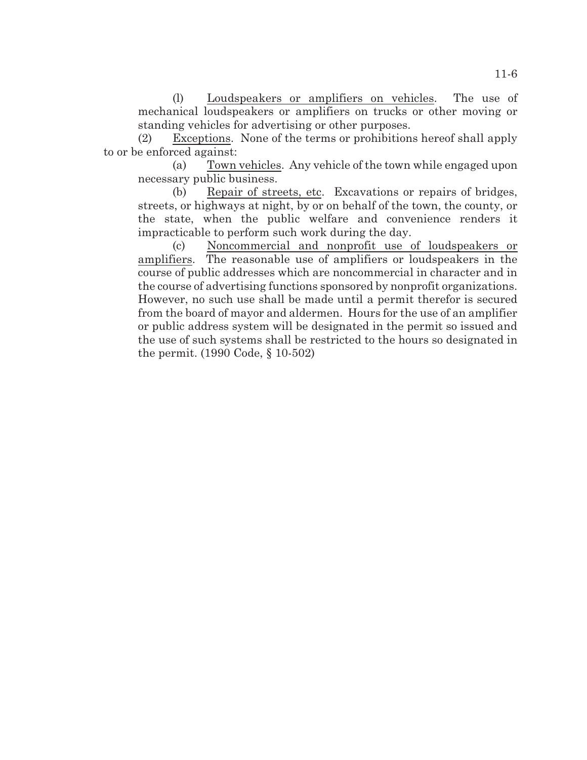(l) Loudspeakers or amplifiers on vehicles. The use of mechanical loudspeakers or amplifiers on trucks or other moving or standing vehicles for advertising or other purposes.

(2) Exceptions. None of the terms or prohibitions hereof shall apply to or be enforced against:

(a) Town vehicles. Any vehicle of the town while engaged upon necessary public business.

(b) Repair of streets, etc. Excavations or repairs of bridges, streets, or highways at night, by or on behalf of the town, the county, or the state, when the public welfare and convenience renders it impracticable to perform such work during the day.

(c) Noncommercial and nonprofit use of loudspeakers or amplifiers. The reasonable use of amplifiers or loudspeakers in the course of public addresses which are noncommercial in character and in the course of advertising functions sponsored by nonprofit organizations. However, no such use shall be made until a permit therefor is secured from the board of mayor and aldermen. Hours for the use of an amplifier or public address system will be designated in the permit so issued and the use of such systems shall be restricted to the hours so designated in the permit. (1990 Code, § 10-502)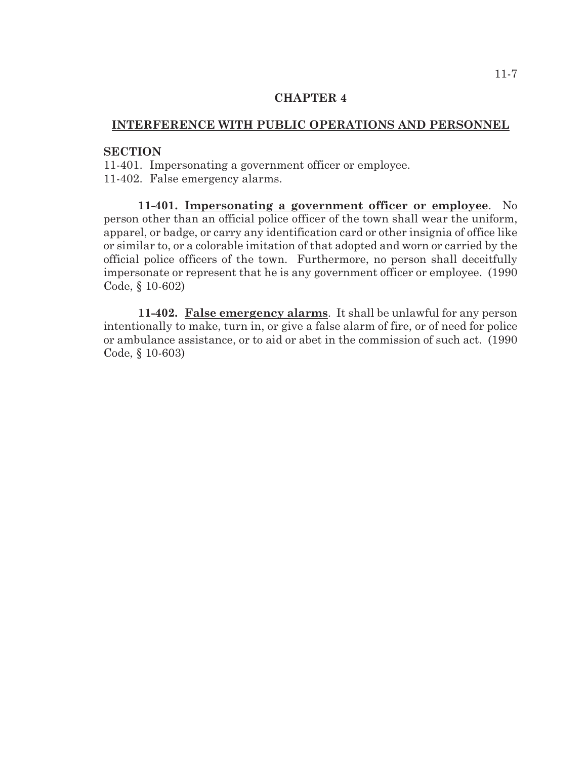## **INTERFERENCE WITH PUBLIC OPERATIONS AND PERSONNEL**

#### **SECTION**

11-401. Impersonating a government officer or employee.

11-402. False emergency alarms.

**11-401. Impersonating a government officer or employee**. No person other than an official police officer of the town shall wear the uniform, apparel, or badge, or carry any identification card or other insignia of office like or similar to, or a colorable imitation of that adopted and worn or carried by the official police officers of the town. Furthermore, no person shall deceitfully impersonate or represent that he is any government officer or employee. (1990 Code, § 10-602)

**11-402. False emergency alarms**. It shall be unlawful for any person intentionally to make, turn in, or give a false alarm of fire, or of need for police or ambulance assistance, or to aid or abet in the commission of such act. (1990 Code, § 10-603)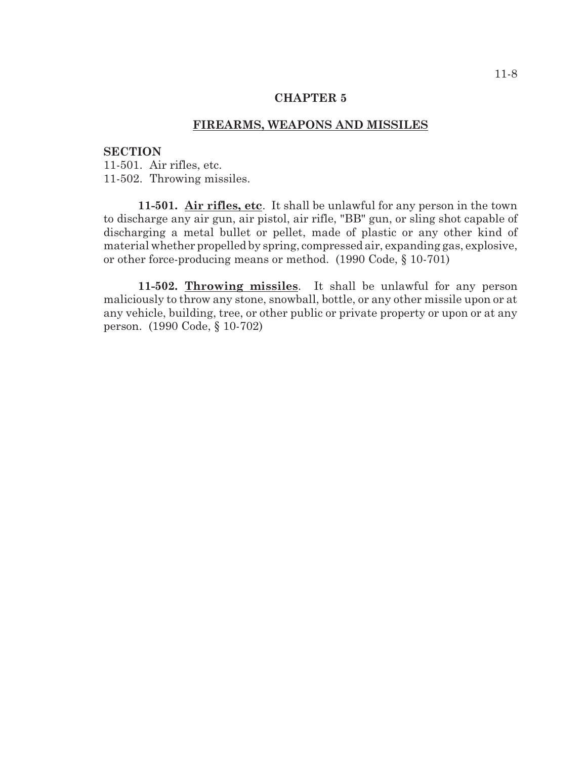## **FIREARMS, WEAPONS AND MISSILES**

#### **SECTION**

11-501. Air rifles, etc. 11-502. Throwing missiles.

**11-501. Air rifles, etc**. It shall be unlawful for any person in the town to discharge any air gun, air pistol, air rifle, "BB" gun, or sling shot capable of discharging a metal bullet or pellet, made of plastic or any other kind of material whether propelled by spring, compressed air, expanding gas, explosive, or other force-producing means or method. (1990 Code, § 10-701)

**11-502. Throwing missiles**. It shall be unlawful for any person maliciously to throw any stone, snowball, bottle, or any other missile upon or at any vehicle, building, tree, or other public or private property or upon or at any person. (1990 Code, § 10-702)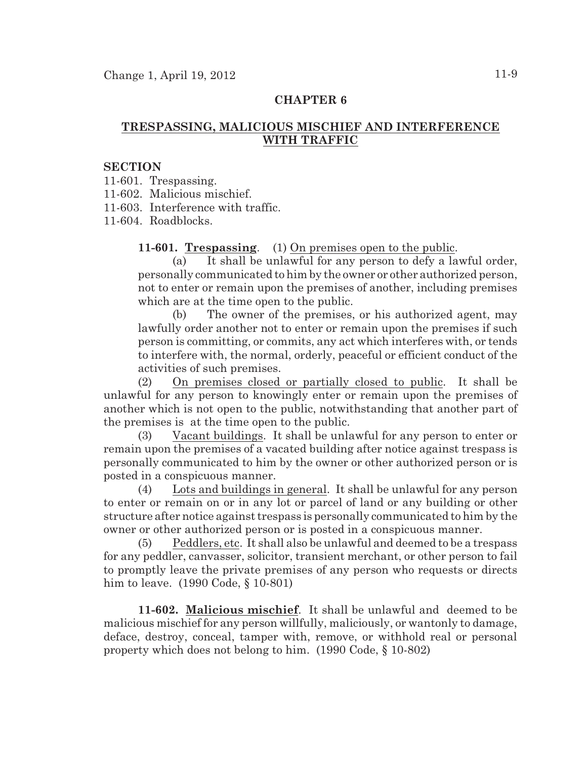# **TRESPASSING, MALICIOUS MISCHIEF AND INTERFERENCE WITH TRAFFIC**

#### **SECTION**

11-601. Trespassing.

11-602. Malicious mischief.

11-603. Interference with traffic.

11-604. Roadblocks.

**11-601. Trespassing**. (1) On premises open to the public.

(a) It shall be unlawful for any person to defy a lawful order, personally communicated to him by the owner or other authorized person, not to enter or remain upon the premises of another, including premises which are at the time open to the public.

(b) The owner of the premises, or his authorized agent, may lawfully order another not to enter or remain upon the premises if such person is committing, or commits, any act which interferes with, or tends to interfere with, the normal, orderly, peaceful or efficient conduct of the activities of such premises.

(2) On premises closed or partially closed to public. It shall be unlawful for any person to knowingly enter or remain upon the premises of another which is not open to the public, notwithstanding that another part of the premises is at the time open to the public.

(3) Vacant buildings. It shall be unlawful for any person to enter or remain upon the premises of a vacated building after notice against trespass is personally communicated to him by the owner or other authorized person or is posted in a conspicuous manner.

(4) Lots and buildings in general. It shall be unlawful for any person to enter or remain on or in any lot or parcel of land or any building or other structure after notice against trespass is personally communicated to him by the owner or other authorized person or is posted in a conspicuous manner.

Peddlers, etc. It shall also be unlawful and deemed to be a trespass for any peddler, canvasser, solicitor, transient merchant, or other person to fail to promptly leave the private premises of any person who requests or directs him to leave. (1990 Code, § 10-801)

**11-602. Malicious mischief**. It shall be unlawful and deemed to be malicious mischief for any person willfully, maliciously, or wantonly to damage, deface, destroy, conceal, tamper with, remove, or withhold real or personal property which does not belong to him. (1990 Code, § 10-802)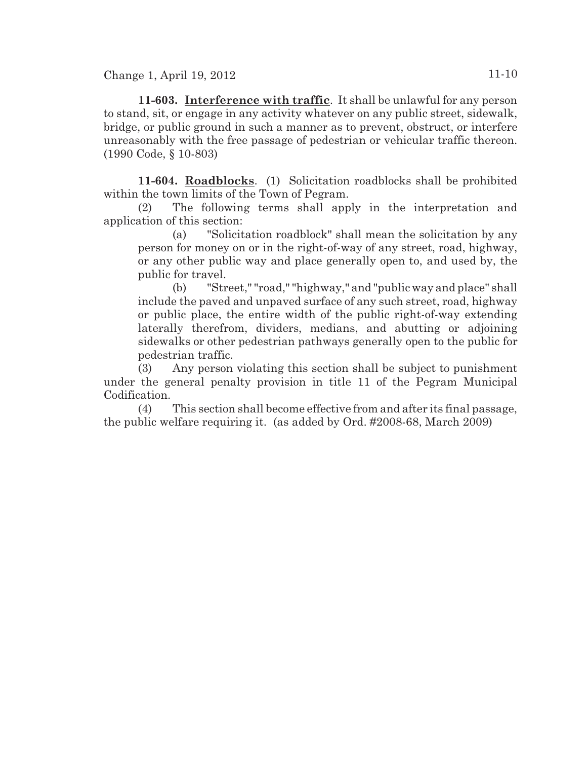Change 1, April 19, 2012 11-10

**11-603. Interference with traffic**. It shall be unlawful for any person to stand, sit, or engage in any activity whatever on any public street, sidewalk, bridge, or public ground in such a manner as to prevent, obstruct, or interfere unreasonably with the free passage of pedestrian or vehicular traffic thereon. (1990 Code, § 10-803)

**11-604. Roadblocks**. (1) Solicitation roadblocks shall be prohibited within the town limits of the Town of Pegram.

(2) The following terms shall apply in the interpretation and application of this section:

(a) "Solicitation roadblock" shall mean the solicitation by any person for money on or in the right-of-way of any street, road, highway, or any other public way and place generally open to, and used by, the public for travel.

(b) "Street," "road," "highway," and "public way and place" shall include the paved and unpaved surface of any such street, road, highway or public place, the entire width of the public right-of-way extending laterally therefrom, dividers, medians, and abutting or adjoining sidewalks or other pedestrian pathways generally open to the public for pedestrian traffic.

(3) Any person violating this section shall be subject to punishment under the general penalty provision in title 11 of the Pegram Municipal Codification.

(4) This section shall become effective from and after its final passage, the public welfare requiring it. (as added by Ord. #2008-68, March 2009)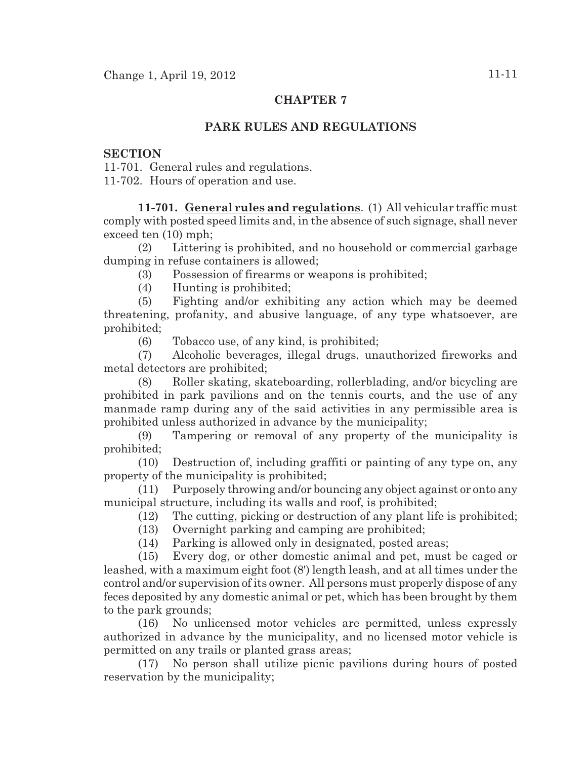# **PARK RULES AND REGULATIONS**

## **SECTION**

11-701. General rules and regulations.

11-702. Hours of operation and use.

**11-701. General rules and regulations**. (1) All vehicular traffic must comply with posted speed limits and, in the absence of such signage, shall never exceed ten (10) mph;

(2) Littering is prohibited, and no household or commercial garbage dumping in refuse containers is allowed;

(3) Possession of firearms or weapons is prohibited;

(4) Hunting is prohibited;

(5) Fighting and/or exhibiting any action which may be deemed threatening, profanity, and abusive language, of any type whatsoever, are prohibited;

(6) Tobacco use, of any kind, is prohibited;

(7) Alcoholic beverages, illegal drugs, unauthorized fireworks and metal detectors are prohibited;

(8) Roller skating, skateboarding, rollerblading, and/or bicycling are prohibited in park pavilions and on the tennis courts, and the use of any manmade ramp during any of the said activities in any permissible area is prohibited unless authorized in advance by the municipality;

(9) Tampering or removal of any property of the municipality is prohibited;

(10) Destruction of, including graffiti or painting of any type on, any property of the municipality is prohibited;

(11) Purposely throwing and/or bouncing any object against or onto any municipal structure, including its walls and roof, is prohibited;

(12) The cutting, picking or destruction of any plant life is prohibited;

(13) Overnight parking and camping are prohibited;

(14) Parking is allowed only in designated, posted areas;

(15) Every dog, or other domestic animal and pet, must be caged or leashed, with a maximum eight foot (8') length leash, and at all times under the control and/or supervision of its owner. All persons must properly dispose of any feces deposited by any domestic animal or pet, which has been brought by them to the park grounds;

(16) No unlicensed motor vehicles are permitted, unless expressly authorized in advance by the municipality, and no licensed motor vehicle is permitted on any trails or planted grass areas;

(17) No person shall utilize picnic pavilions during hours of posted reservation by the municipality;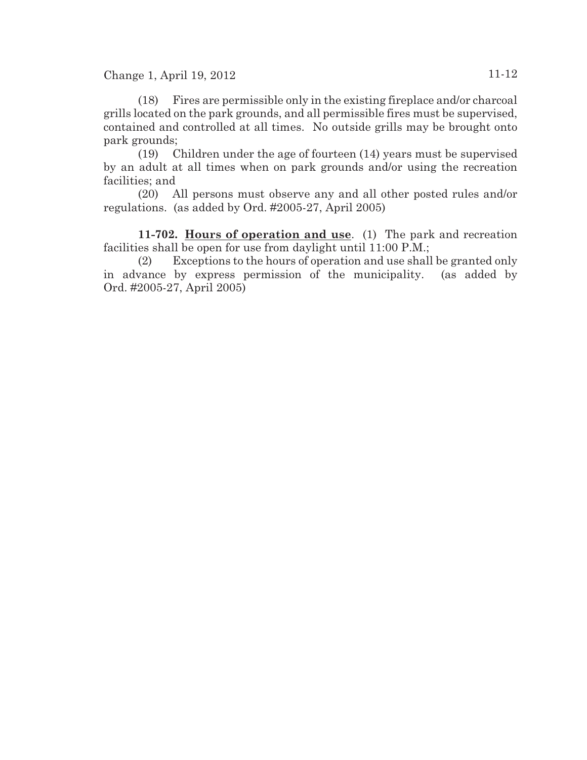Change 1, April 19, 2012 11-12

(18) Fires are permissible only in the existing fireplace and/or charcoal grills located on the park grounds, and all permissible fires must be supervised, contained and controlled at all times. No outside grills may be brought onto park grounds;

(19) Children under the age of fourteen (14) years must be supervised by an adult at all times when on park grounds and/or using the recreation facilities; and

(20) All persons must observe any and all other posted rules and/or regulations. (as added by Ord. #2005-27, April 2005)

**11-702. Hours of operation and use**. (1) The park and recreation facilities shall be open for use from daylight until 11:00 P.M.;

(2) Exceptions to the hours of operation and use shall be granted only in advance by express permission of the municipality. (as added by Ord. #2005-27, April 2005)